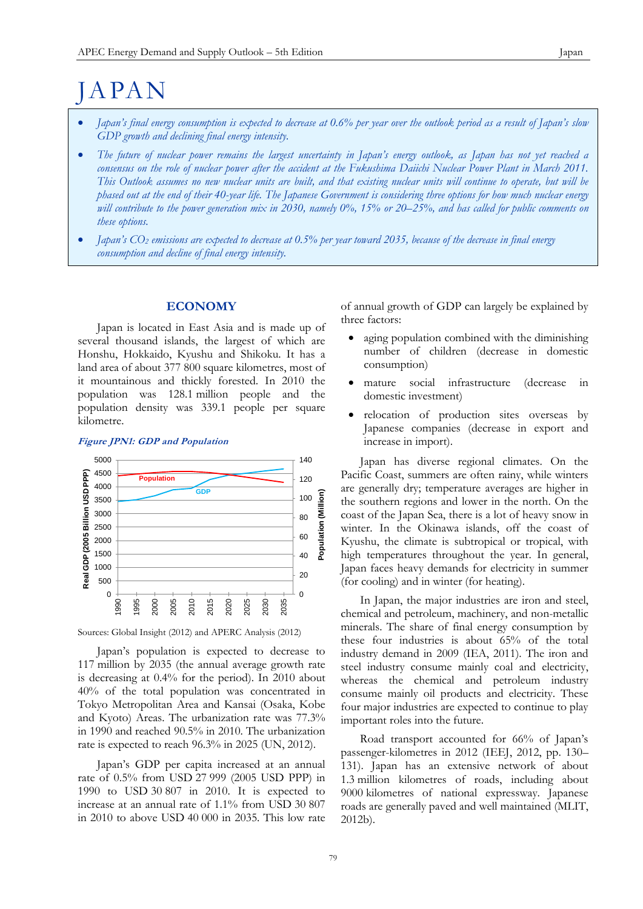# JAPAN

- *Japan's final energy consumption is expected to decrease at 0.6% per year over the outlook period as a result of Japan's slow GDP growth and declining final energy intensity.*
- *The future of nuclear power remains the largest uncertainty in Japan's energy outlook, as Japan has not yet reached a consensus on the role of nuclear power after the accident at the Fukushima Daiichi Nuclear Power Plant in March 2011. This Outlook assumes no new nuclear units are built, and that existing nuclear units will continue to operate, but will be phased out at the end of their 40-year life. The Japanese Government is considering three options for how much nuclear energy will contribute to the power generation mix in 2030, namely 0%, 15% or 20–25%, and has called for public comments on these options.*
- *Japan's CO<sup>2</sup> emissions are expected to decrease at 0.5% per year toward 2035, because of the decrease in final energy consumption and decline of final energy intensity.*

## **ECONOMY**

Japan is located in East Asia and is made up of several thousand islands, the largest of which are Honshu, Hokkaido, Kyushu and Shikoku. It has a land area of about 377 800 square kilometres, most of it mountainous and thickly forested. In 2010 the population was 128.1 million people and the population density was 339.1 people per square kilometre.

## **Figure JPN1: GDP and Population**



Sources: Global Insight (2012) and APERC Analysis (2012)

Japan's population is expected to decrease to 117 million by 2035 (the annual average growth rate is decreasing at 0.4% for the period). In 2010 about 40% of the total population was concentrated in Tokyo Metropolitan Area and Kansai (Osaka, Kobe and Kyoto) Areas. The urbanization rate was 77.3% in 1990 and reached 90.5% in 2010. The urbanization rate is expected to reach 96.3% in 2025 (UN, 2012).

Japan's GDP per capita increased at an annual rate of 0.5% from USD 27 999 (2005 USD PPP) in 1990 to USD 30 807 in 2010. It is expected to increase at an annual rate of 1.1% from USD 30 807 in 2010 to above USD 40 000 in 2035. This low rate

of annual growth of GDP can largely be explained by three factors:

- aging population combined with the diminishing number of children (decrease in domestic consumption)
- mature social infrastructure (decrease in domestic investment)
- relocation of production sites overseas by Japanese companies (decrease in export and increase in import).

Japan has diverse regional climates. On the Pacific Coast, summers are often rainy, while winters are generally dry; temperature averages are higher in the southern regions and lower in the north. On the coast of the Japan Sea, there is a lot of heavy snow in winter. In the Okinawa islands, off the coast of Kyushu, the climate is subtropical or tropical, with high temperatures throughout the year. In general, Japan faces heavy demands for electricity in summer (for cooling) and in winter (for heating).

In Japan, the major industries are iron and steel, chemical and petroleum, machinery, and non-metallic minerals. The share of final energy consumption by these four industries is about 65% of the total industry demand in 2009 (IEA, 2011). The iron and steel industry consume mainly coal and electricity, whereas the chemical and petroleum industry consume mainly oil products and electricity. These four major industries are expected to continue to play important roles into the future.

Road transport accounted for 66% of Japan's passenger-kilometres in 2012 (IEEJ, 2012, pp. 130– 131). Japan has an extensive network of about 1.3 million kilometres of roads, including about 9000 kilometres of national expressway. Japanese roads are generally paved and well maintained (MLIT, 2012b).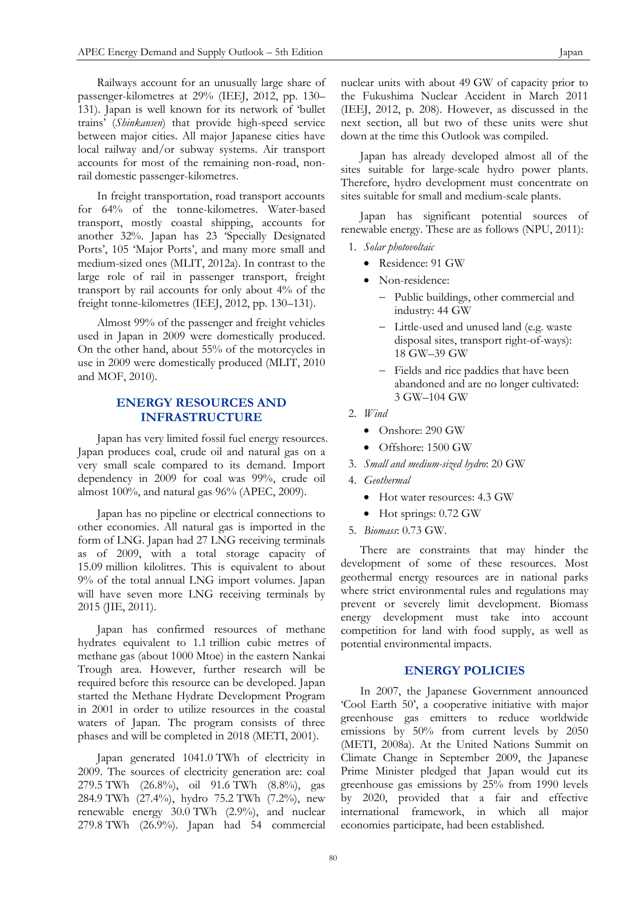Railways account for an unusually large share of passenger-kilometres at 29% (IEEJ, 2012, pp. 130– 131). Japan is well known for its network of 'bullet trains' (*Shinkansen*) that provide high-speed service between major cities. All major Japanese cities have local railway and/or subway systems. Air transport accounts for most of the remaining non-road, nonrail domestic passenger-kilometres.

In freight transportation, road transport accounts for 64% of the tonne-kilometres. Water-based transport, mostly coastal shipping, accounts for another 32%. Japan has 23 'Specially Designated Ports', 105 'Major Ports', and many more small and medium-sized ones (MLIT, 2012a). In contrast to the large role of rail in passenger transport, freight transport by rail accounts for only about 4% of the freight tonne-kilometres (IEEJ, 2012, pp. 130–131).

Almost 99% of the passenger and freight vehicles used in Japan in 2009 were domestically produced. On the other hand, about 55% of the motorcycles in use in 2009 were domestically produced (MLIT, 2010 and MOF, 2010).

## **ENERGY RESOURCES AND INFRASTRUCTURE**

Japan has very limited fossil fuel energy resources. Japan produces coal, crude oil and natural gas on a very small scale compared to its demand. Import dependency in 2009 for coal was 99%, crude oil almost 100%, and natural gas 96% (APEC, 2009).

Japan has no pipeline or electrical connections to other economies. All natural gas is imported in the form of LNG. Japan had 27 LNG receiving terminals as of 2009, with a total storage capacity of 15.09 million kilolitres. This is equivalent to about 9% of the total annual LNG import volumes. Japan will have seven more LNG receiving terminals by 2015 (JIE, 2011).

Japan has confirmed resources of methane hydrates equivalent to 1.1 trillion cubic metres of methane gas (about 1000 Mtoe) in the eastern Nankai Trough area. However, further research will be required before this resource can be developed. Japan started the Methane Hydrate Development Program in 2001 in order to utilize resources in the coastal waters of Japan. The program consists of three phases and will be completed in 2018 (METI, 2001).

Japan generated 1041.0 TWh of electricity in 2009. The sources of electricity generation are: coal 279.5 TWh (26.8%), oil 91.6 TWh (8.8%), gas 284.9 TWh (27.4%), hydro 75.2 TWh (7.2%), new renewable energy 30.0 TWh (2.9%), and nuclear 279.8 TWh (26.9%). Japan had 54 commercial

nuclear units with about 49 GW of capacity prior to the Fukushima Nuclear Accident in March 2011 (IEEJ, 2012, p. 208). However, as discussed in the next section, all but two of these units were shut down at the time this Outlook was compiled.

Japan has already developed almost all of the sites suitable for large-scale hydro power plants. Therefore, hydro development must concentrate on sites suitable for small and medium-scale plants.

Japan has significant potential sources of renewable energy. These are as follows (NPU, 2011):

- 1. *Solar photovoltaic*
	- Residence: 91 GW
	- Non-residence:
		- Public buildings, other commercial and industry: 44 GW
		- Little-used and unused land (e.g. waste disposal sites, transport right-of-ways): 18 GW–39 GW
		- Fields and rice paddies that have been abandoned and are no longer cultivated: 3 GW–104 GW
- 2. *Wind*
	- Onshore: 290 GW
	- Offshore: 1500 GW
- 3. *Small and medium-sized hydro*: 20 GW
- 4. *Geothermal*
	- Hot water resources: 4.3 GW
	- Hot springs: 0.72 GW
- 5. *Biomass*: 0.73 GW.

There are constraints that may hinder the development of some of these resources. Most geothermal energy resources are in national parks where strict environmental rules and regulations may prevent or severely limit development. Biomass energy development must take into account competition for land with food supply, as well as potential environmental impacts.

## **ENERGY POLICIES**

In 2007, the Japanese Government announced 'Cool Earth 50', a cooperative initiative with major greenhouse gas emitters to reduce worldwide emissions by 50% from current levels by 2050 (METI, 2008a). At the United Nations Summit on Climate Change in September 2009, the Japanese Prime Minister pledged that Japan would cut its greenhouse gas emissions by 25% from 1990 levels by 2020, provided that a fair and effective international framework, in which all major economies participate, had been established.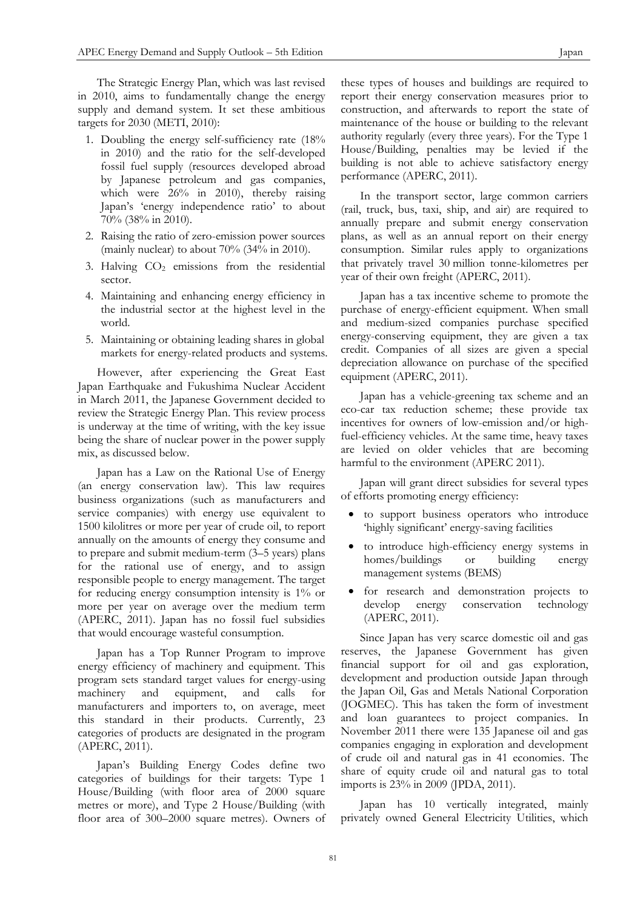The Strategic Energy Plan, which was last revised in 2010, aims to fundamentally change the energy supply and demand system. It set these ambitious targets for 2030 (METI, 2010):

- 1. Doubling the energy self-sufficiency rate (18% in 2010) and the ratio for the self-developed fossil fuel supply (resources developed abroad by Japanese petroleum and gas companies, which were 26% in 2010), thereby raising Japan's 'energy independence ratio' to about 70% (38% in 2010).
- 2. Raising the ratio of zero-emission power sources (mainly nuclear) to about 70% (34% in 2010).
- 3. Halving  $CO<sub>2</sub>$  emissions from the residential sector.
- 4. Maintaining and enhancing energy efficiency in the industrial sector at the highest level in the world.
- 5. Maintaining or obtaining leading shares in global markets for energy-related products and systems.

However, after experiencing the Great East Japan Earthquake and Fukushima Nuclear Accident in March 2011, the Japanese Government decided to review the Strategic Energy Plan. This review process is underway at the time of writing, with the key issue being the share of nuclear power in the power supply mix, as discussed below.

Japan has a Law on the Rational Use of Energy (an energy conservation law). This law requires business organizations (such as manufacturers and service companies) with energy use equivalent to 1500 kilolitres or more per year of crude oil, to report annually on the amounts of energy they consume and to prepare and submit medium-term (3–5 years) plans for the rational use of energy, and to assign responsible people to energy management. The target for reducing energy consumption intensity is 1% or more per year on average over the medium term (APERC, 2011). Japan has no fossil fuel subsidies that would encourage wasteful consumption.

Japan has a Top Runner Program to improve energy efficiency of machinery and equipment. This program sets standard target values for energy-using machinery and equipment, and calls for manufacturers and importers to, on average, meet this standard in their products. Currently, 23 categories of products are designated in the program (APERC, 2011).

Japan's Building Energy Codes define two categories of buildings for their targets: Type 1 House/Building (with floor area of 2000 square metres or more), and Type 2 House/Building (with floor area of 300–2000 square metres). Owners of these types of houses and buildings are required to report their energy conservation measures prior to construction, and afterwards to report the state of maintenance of the house or building to the relevant authority regularly (every three years). For the Type 1 House/Building, penalties may be levied if the building is not able to achieve satisfactory energy performance (APERC, 2011).

In the transport sector, large common carriers (rail, truck, bus, taxi, ship, and air) are required to annually prepare and submit energy conservation plans, as well as an annual report on their energy consumption. Similar rules apply to organizations that privately travel 30 million tonne-kilometres per year of their own freight (APERC, 2011).

Japan has a tax incentive scheme to promote the purchase of energy-efficient equipment. When small and medium-sized companies purchase specified energy-conserving equipment, they are given a tax credit. Companies of all sizes are given a special depreciation allowance on purchase of the specified equipment (APERC, 2011).

Japan has a vehicle-greening tax scheme and an eco-car tax reduction scheme; these provide tax incentives for owners of low-emission and/or highfuel-efficiency vehicles. At the same time, heavy taxes are levied on older vehicles that are becoming harmful to the environment (APERC 2011).

Japan will grant direct subsidies for several types of efforts promoting energy efficiency:

- to support business operators who introduce 'highly significant' energy-saving facilities
- to introduce high-efficiency energy systems in homes/buildings or building energy management systems (BEMS)
- for research and demonstration projects to develop energy conservation technology (APERC, 2011).

Since Japan has very scarce domestic oil and gas reserves, the Japanese Government has given financial support for oil and gas exploration, development and production outside Japan through the Japan Oil, Gas and Metals National Corporation (JOGMEC). This has taken the form of investment and loan guarantees to project companies. In November 2011 there were 135 Japanese oil and gas companies engaging in exploration and development of crude oil and natural gas in 41 economies. The share of equity crude oil and natural gas to total imports is 23% in 2009 (JPDA, 2011).

Japan has 10 vertically integrated, mainly privately owned General Electricity Utilities, which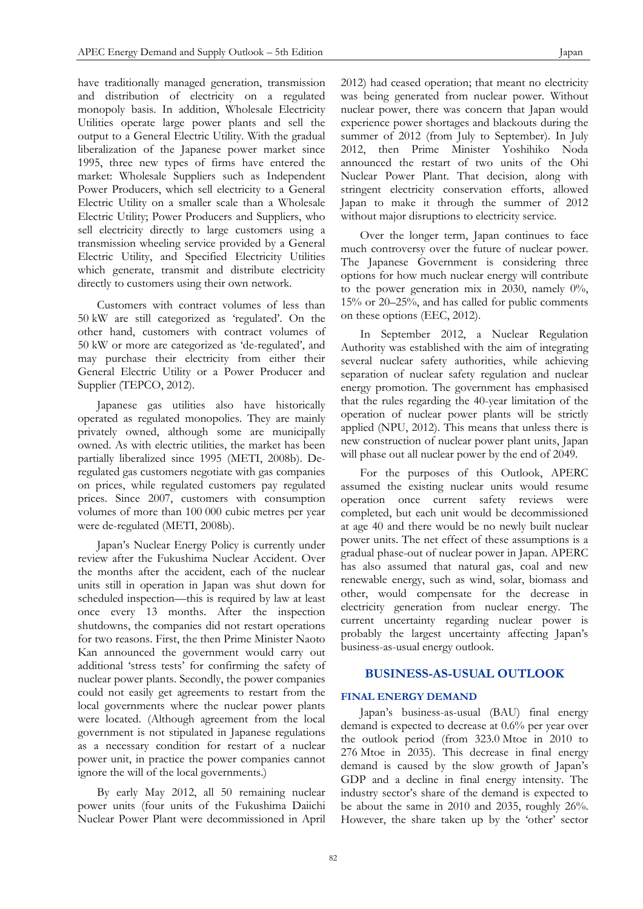have traditionally managed generation, transmission and distribution of electricity on a regulated monopoly basis. In addition, Wholesale Electricity Utilities operate large power plants and sell the output to a General Electric Utility. With the gradual liberalization of the Japanese power market since 1995, three new types of firms have entered the market: Wholesale Suppliers such as Independent Power Producers, which sell electricity to a General Electric Utility on a smaller scale than a Wholesale Electric Utility; Power Producers and Suppliers, who sell electricity directly to large customers using a transmission wheeling service provided by a General Electric Utility, and Specified Electricity Utilities which generate, transmit and distribute electricity directly to customers using their own network.

Customers with contract volumes of less than 50 kW are still categorized as 'regulated'. On the other hand, customers with contract volumes of 50 kW or more are categorized as 'de-regulated', and may purchase their electricity from either their General Electric Utility or a Power Producer and Supplier (TEPCO, 2012).

Japanese gas utilities also have historically operated as regulated monopolies. They are mainly privately owned, although some are municipally owned. As with electric utilities, the market has been partially liberalized since 1995 (METI, 2008b). Deregulated gas customers negotiate with gas companies on prices, while regulated customers pay regulated prices. Since 2007, customers with consumption volumes of more than 100 000 cubic metres per year were de-regulated (METI, 2008b).

Japan's Nuclear Energy Policy is currently under review after the Fukushima Nuclear Accident. Over the months after the accident, each of the nuclear units still in operation in Japan was shut down for scheduled inspection—this is required by law at least once every 13 months. After the inspection shutdowns, the companies did not restart operations for two reasons. First, the then Prime Minister Naoto Kan announced the government would carry out additional 'stress tests' for confirming the safety of nuclear power plants. Secondly, the power companies could not easily get agreements to restart from the local governments where the nuclear power plants were located. (Although agreement from the local government is not stipulated in Japanese regulations as a necessary condition for restart of a nuclear power unit, in practice the power companies cannot ignore the will of the local governments.)

By early May 2012, all 50 remaining nuclear power units (four units of the Fukushima Daiichi Nuclear Power Plant were decommissioned in April 2012) had ceased operation; that meant no electricity was being generated from nuclear power. Without nuclear power, there was concern that Japan would experience power shortages and blackouts during the summer of 2012 (from July to September). In July 2012, then Prime Minister Yoshihiko Noda announced the restart of two units of the Ohi Nuclear Power Plant. That decision, along with stringent electricity conservation efforts, allowed Japan to make it through the summer of 2012 without major disruptions to electricity service.

Over the longer term, Japan continues to face much controversy over the future of nuclear power. The Japanese Government is considering three options for how much nuclear energy will contribute to the power generation mix in 2030, namely 0%, 15% or 20–25%, and has called for public comments on these options (EEC, 2012).

In September 2012, a Nuclear Regulation Authority was established with the aim of integrating several nuclear safety authorities, while achieving separation of nuclear safety regulation and nuclear energy promotion. The government has emphasised that the rules regarding the 40-year limitation of the operation of nuclear power plants will be strictly applied (NPU, 2012). This means that unless there is new construction of nuclear power plant units, Japan will phase out all nuclear power by the end of 2049.

For the purposes of this Outlook, APERC assumed the existing nuclear units would resume operation once current safety reviews were completed, but each unit would be decommissioned at age 40 and there would be no newly built nuclear power units. The net effect of these assumptions is a gradual phase-out of nuclear power in Japan. APERC has also assumed that natural gas, coal and new renewable energy, such as wind, solar, biomass and other, would compensate for the decrease in electricity generation from nuclear energy. The current uncertainty regarding nuclear power is probably the largest uncertainty affecting Japan's business-as-usual energy outlook.

## **BUSINESS-AS-USUAL OUTLOOK**

#### **FINAL ENERGY DEMAND**

Japan's business-as-usual (BAU) final energy demand is expected to decrease at 0.6% per year over the outlook period (from 323.0 Mtoe in 2010 to 276 Mtoe in 2035). This decrease in final energy demand is caused by the slow growth of Japan's GDP and a decline in final energy intensity. The industry sector's share of the demand is expected to be about the same in 2010 and 2035, roughly 26%. However, the share taken up by the 'other' sector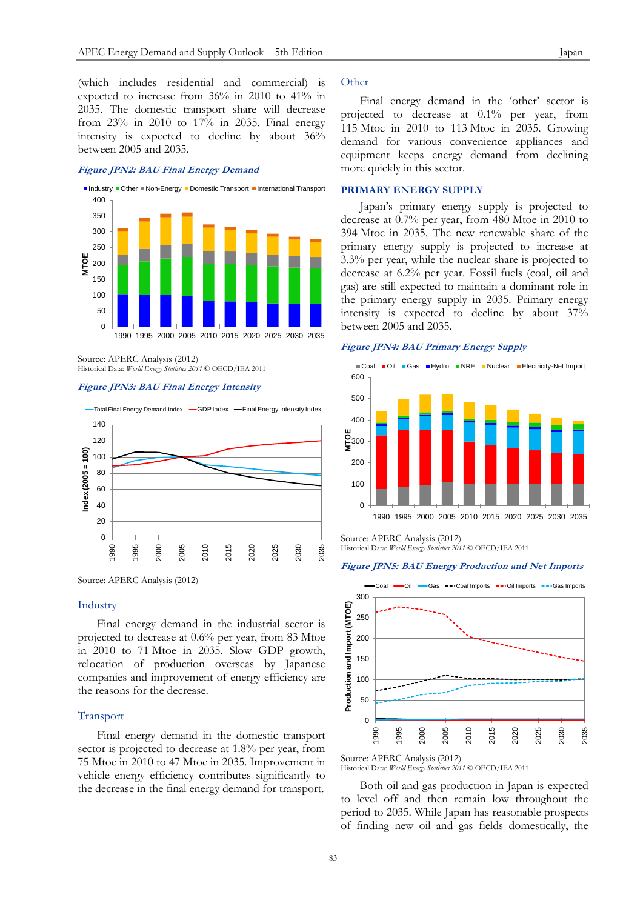(which includes residential and commercial) is expected to increase from 36% in 2010 to 41% in 2035. The domestic transport share will decrease from 23% in 2010 to 17% in 2035. Final energy intensity is expected to decline by about 36% between 2005 and 2035.

## **Figure JPN2: BAU Final Energy Demand**



0 50  $100$ 150

Source: APERC Analysis (2012) Historical Data: *World Energy Statistics 2011* © OECD/IEA 2011

#### **Figure JPN3: BAU Final Energy Intensity**



Source: APERC Analysis (2012)

#### Industry

Final energy demand in the industrial sector is projected to decrease at 0.6% per year, from 83 Mtoe in 2010 to 71 Mtoe in 2035. Slow GDP growth, relocation of production overseas by Japanese companies and improvement of energy efficiency are the reasons for the decrease.

#### Transport

Final energy demand in the domestic transport sector is projected to decrease at 1.8% per year, from 75 Mtoe in 2010 to 47 Mtoe in 2035. Improvement in vehicle energy efficiency contributes significantly to the decrease in the final energy demand for transport.

## **Other**

Final energy demand in the 'other' sector is projected to decrease at 0.1% per year, from 115 Mtoe in 2010 to 113 Mtoe in 2035. Growing demand for various convenience appliances and equipment keeps energy demand from declining more quickly in this sector.

#### **PRIMARY ENERGY SUPPLY**

Japan's primary energy supply is projected to decrease at 0.7% per year, from 480 Mtoe in 2010 to 394 Mtoe in 2035. The new renewable share of the primary energy supply is projected to increase at 3.3% per year, while the nuclear share is projected to decrease at 6.2% per year. Fossil fuels (coal, oil and gas) are still expected to maintain a dominant role in the primary energy supply in 2035. Primary energy intensity is expected to decline by about 37% between 2005 and 2035.

#### **Figure JPN4: BAU Primary Energy Supply**



Source: APERC Analysis (2012) Historical Data: *World Energy Statistics 2011* © OECD/IEA 2011

#### **Figure JPN5: BAU Energy Production and Net Imports**



Source: APERC Analysis (2012)

Both oil and gas production in Japan is expected to level off and then remain low throughout the period to 2035. While Japan has reasonable prospects of finding new oil and gas fields domestically, the

Historical Data: *World Energy Statistics 2011* © OECD/IEA 2011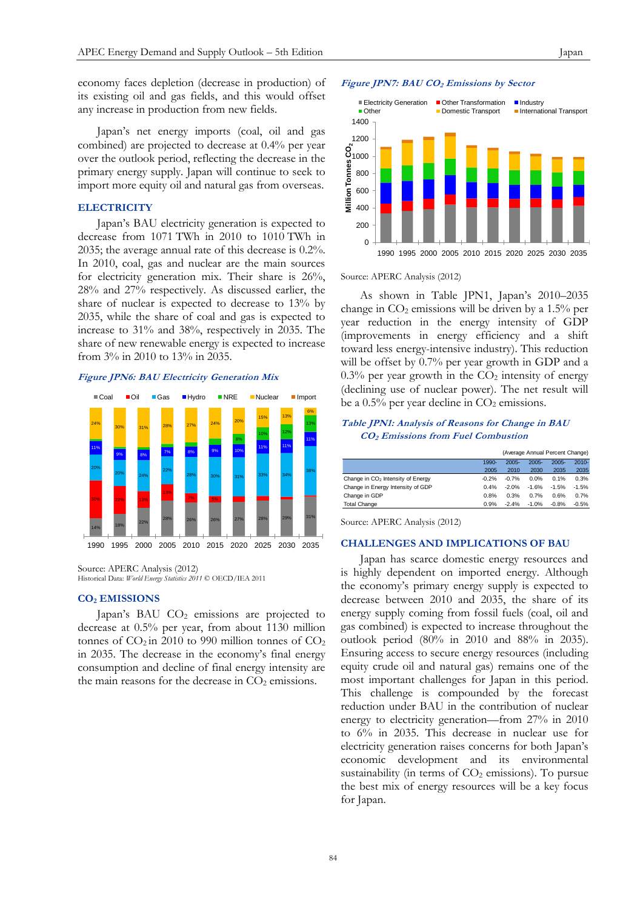Japan's net energy imports (coal, oil and gas combined) are projected to decrease at 0.4% per year over the outlook period, reflecting the decrease in the primary energy supply. Japan will continue to seek to import more equity oil and natural gas from overseas.

#### **ELECTRICITY**

Japan's BAU electricity generation is expected to decrease from 1071 TWh in 2010 to 1010 TWh in 2035; the average annual rate of this decrease is 0.2%. In 2010, coal, gas and nuclear are the main sources for electricity generation mix. Their share is 26%, 28% and 27% respectively. As discussed earlier, the share of nuclear is expected to decrease to 13% by 2035, while the share of coal and gas is expected to increase to 31% and 38%, respectively in 2035. The share of new renewable energy is expected to increase from 3% in 2010 to 13% in 2035.

#### **Figure JPN6: BAU Electricity Generation Mix**



Source: APERC Analysis (2012) Historical Data: *World Energy Statistics 2011* © OECD/IEA 2011

#### **CO<sup>2</sup> EMISSIONS**

Japan's BAU CO<sub>2</sub> emissions are projected to decrease at 0.5% per year, from about 1130 million tonnes of  $CO<sub>2</sub>$  in 2010 to 990 million tonnes of  $CO<sub>2</sub>$ in 2035. The decrease in the economy's final energy consumption and decline of final energy intensity are the main reasons for the decrease in  $CO<sub>2</sub>$  emissions.

## **Figure JPN7: BAU CO<sup>2</sup> Emissions by Sector**



Source: APERC Analysis (2012)

As shown in Table JPN1, Japan's 2010–2035 change in  $CO<sub>2</sub>$  emissions will be driven by a 1.5% per year reduction in the energy intensity of GDP (improvements in energy efficiency and a shift toward less energy-intensive industry). This reduction will be offset by 0.7% per year growth in GDP and a  $0.3\%$  per year growth in the  $CO<sub>2</sub>$  intensity of energy (declining use of nuclear power). The net result will be a  $0.5\%$  per year decline in  $CO<sub>2</sub>$  emissions.

## **Table JPN1: Analysis of Reasons for Change in BAU CO2 Emissions from Fuel Combustion**

|                                               |         | (Average Annual Percent Change) |          |          |          |
|-----------------------------------------------|---------|---------------------------------|----------|----------|----------|
|                                               | 1990-   | $2005 -$                        | $2005 -$ | $2005 -$ | $2010 -$ |
|                                               | 2005    | 2010                            | 2030     | 2035     | 2035     |
| Change in CO <sub>2</sub> Intensity of Energy | $-0.2%$ | $-0.7%$                         | 0.0%     | 0.1%     | 0.3%     |
| Change in Energy Intensity of GDP             | 0.4%    | $-2.0%$                         | $-1.6%$  | $-1.5%$  | $-1.5%$  |
| Change in GDP                                 | 0.8%    | 0.3%                            | 0.7%     | 0.6%     | 0.7%     |
| <b>Total Change</b>                           | 0.9%    | $-2.4%$                         | $-1.0%$  | $-0.8%$  | $-0.5%$  |

Source: APERC Analysis (2012)

#### **CHALLENGES AND IMPLICATIONS OF BAU**

Japan has scarce domestic energy resources and is highly dependent on imported energy. Although the economy's primary energy supply is expected to decrease between 2010 and 2035, the share of its energy supply coming from fossil fuels (coal, oil and gas combined) is expected to increase throughout the outlook period (80% in 2010 and 88% in 2035). Ensuring access to secure energy resources (including equity crude oil and natural gas) remains one of the most important challenges for Japan in this period. This challenge is compounded by the forecast reduction under BAU in the contribution of nuclear energy to electricity generation—from 27% in 2010 to 6% in 2035. This decrease in nuclear use for electricity generation raises concerns for both Japan's economic development and its environmental sustainability (in terms of  $CO<sub>2</sub>$  emissions). To pursue the best mix of energy resources will be a key focus for Japan.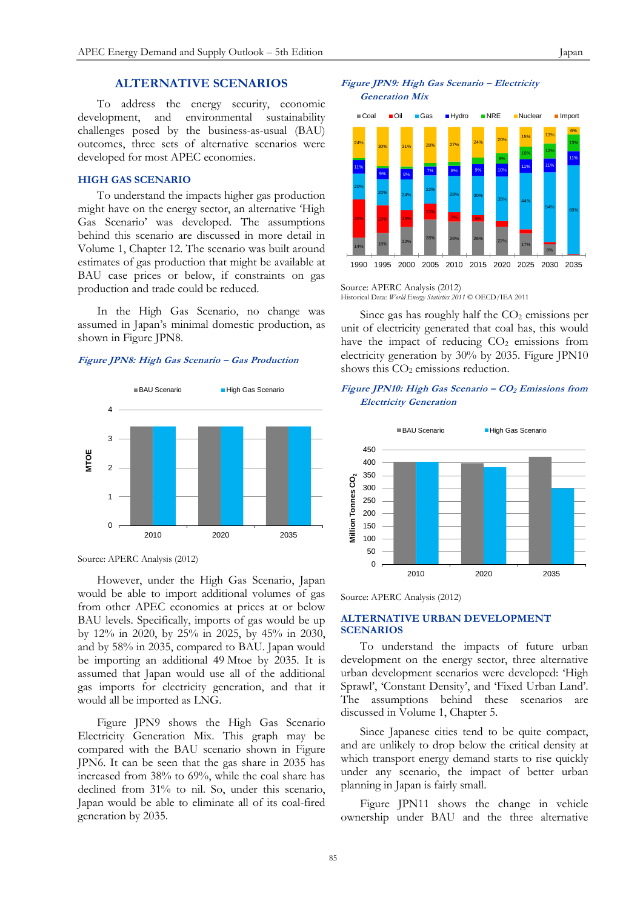## **ALTERNATIVE SCENARIOS**

To address the energy security, economic development, and environmental sustainability challenges posed by the business-as-usual (BAU) outcomes, three sets of alternative scenarios were developed for most APEC economies.

## **HIGH GAS SCENARIO**

To understand the impacts higher gas production might have on the energy sector, an alternative 'High Gas Scenario' was developed. The assumptions behind this scenario are discussed in more detail in Volume 1, Chapter 12. The scenario was built around estimates of gas production that might be available at BAU case prices or below, if constraints on gas production and trade could be reduced.

In the High Gas Scenario, no change was assumed in Japan's minimal domestic production, as shown in Figure JPN8.

#### **Figure JPN8: High Gas Scenario – Gas Production**



Source: APERC Analysis (2012)

However, under the High Gas Scenario, Japan would be able to import additional volumes of gas from other APEC economies at prices at or below BAU levels. Specifically, imports of gas would be up by 12% in 2020, by 25% in 2025, by 45% in 2030, and by 58% in 2035, compared to BAU. Japan would be importing an additional 49 Mtoe by 2035. It is assumed that Japan would use all of the additional gas imports for electricity generation, and that it would all be imported as LNG.

Figure JPN9 shows the High Gas Scenario Electricity Generation Mix. This graph may be compared with the BAU scenario shown in Figure JPN6. It can be seen that the gas share in 2035 has increased from 38% to 69%, while the coal share has declined from 31% to nil. So, under this scenario, Japan would be able to eliminate all of its coal-fired generation by 2035.





Source: APERC Analysis (2012) Historical Data: *World Energy Statistics 2011* © OECD/IEA 2011

Since gas has roughly half the  $CO<sub>2</sub>$  emissions per unit of electricity generated that coal has, this would have the impact of reducing  $CO<sub>2</sub>$  emissions from electricity generation by 30% by 2035. Figure JPN10 shows this  $CO<sub>2</sub>$  emissions reduction.

## **Figure JPN10: High Gas Scenario – CO<sup>2</sup> Emissions from Electricity Generation**



Source: APERC Analysis (2012)

## **ALTERNATIVE URBAN DEVELOPMENT SCENARIOS**

To understand the impacts of future urban development on the energy sector, three alternative urban development scenarios were developed: 'High Sprawl', 'Constant Density', and 'Fixed Urban Land'. The assumptions behind these scenarios are discussed in Volume 1, Chapter 5.

Since Japanese cities tend to be quite compact, and are unlikely to drop below the critical density at which transport energy demand starts to rise quickly under any scenario, the impact of better urban planning in Japan is fairly small.

Figure JPN11 shows the change in vehicle ownership under BAU and the three alternative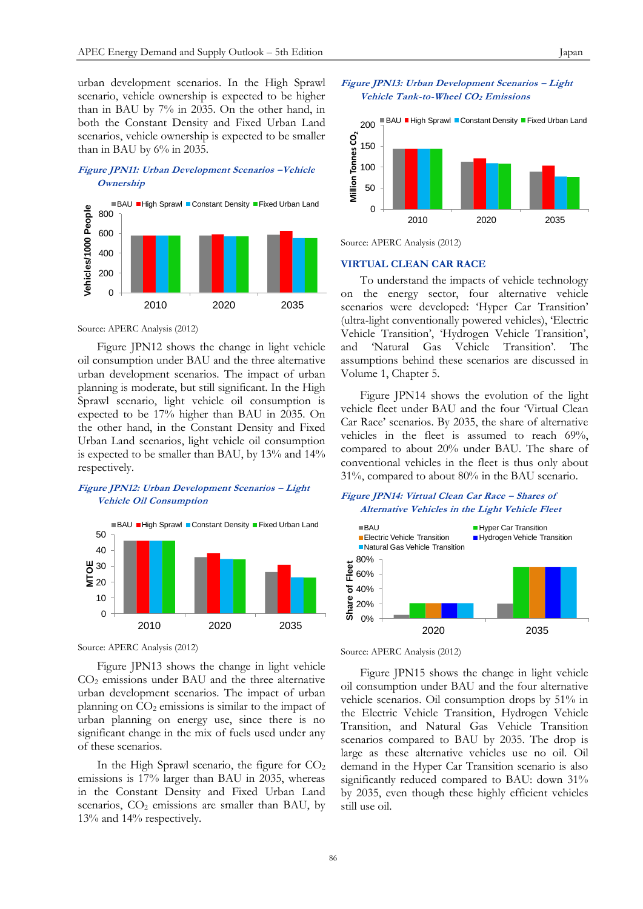urban development scenarios. In the High Sprawl scenario, vehicle ownership is expected to be higher than in BAU by 7% in 2035. On the other hand, in both the Constant Density and Fixed Urban Land scenarios, vehicle ownership is expected to be smaller than in BAU by 6% in 2035.

## **Figure JPN11: Urban Development Scenarios –Vehicle Ownership**



Source: APERC Analysis (2012)

Figure JPN12 shows the change in light vehicle oil consumption under BAU and the three alternative urban development scenarios. The impact of urban planning is moderate, but still significant. In the High Sprawl scenario, light vehicle oil consumption is expected to be 17% higher than BAU in 2035. On the other hand, in the Constant Density and Fixed Urban Land scenarios, light vehicle oil consumption is expected to be smaller than BAU, by 13% and 14% respectively.

## **Figure JPN12: Urban Development Scenarios – Light Vehicle Oil Consumption**



Source: APERC Analysis (2012)

Figure JPN13 shows the change in light vehicle CO<sup>2</sup> emissions under BAU and the three alternative urban development scenarios. The impact of urban planning on  $CO<sub>2</sub>$  emissions is similar to the impact of urban planning on energy use, since there is no significant change in the mix of fuels used under any of these scenarios.

In the High Sprawl scenario, the figure for  $CO<sub>2</sub>$ emissions is 17% larger than BAU in 2035, whereas in the Constant Density and Fixed Urban Land scenarios,  $CO<sub>2</sub>$  emissions are smaller than BAU, by 13% and 14% respectively.





Source: APERC Analysis (2012)

## **VIRTUAL CLEAN CAR RACE**

To understand the impacts of vehicle technology on the energy sector, four alternative vehicle scenarios were developed: 'Hyper Car Transition' (ultra-light conventionally powered vehicles), 'Electric Vehicle Transition', 'Hydrogen Vehicle Transition', and 'Natural Gas Vehicle Transition'. The assumptions behind these scenarios are discussed in Volume 1, Chapter 5.

Figure JPN14 shows the evolution of the light vehicle fleet under BAU and the four 'Virtual Clean Car Race' scenarios. By 2035, the share of alternative vehicles in the fleet is assumed to reach 69%, compared to about 20% under BAU. The share of conventional vehicles in the fleet is thus only about 31%, compared to about 80% in the BAU scenario.

#### **Figure JPN14: Virtual Clean Car Race – Shares of Alternative Vehicles in the Light Vehicle Fleet**



Source: APERC Analysis (2012)

Figure JPN15 shows the change in light vehicle oil consumption under BAU and the four alternative vehicle scenarios. Oil consumption drops by 51% in the Electric Vehicle Transition, Hydrogen Vehicle Transition, and Natural Gas Vehicle Transition scenarios compared to BAU by 2035. The drop is large as these alternative vehicles use no oil. Oil demand in the Hyper Car Transition scenario is also significantly reduced compared to BAU: down 31% by 2035, even though these highly efficient vehicles still use oil.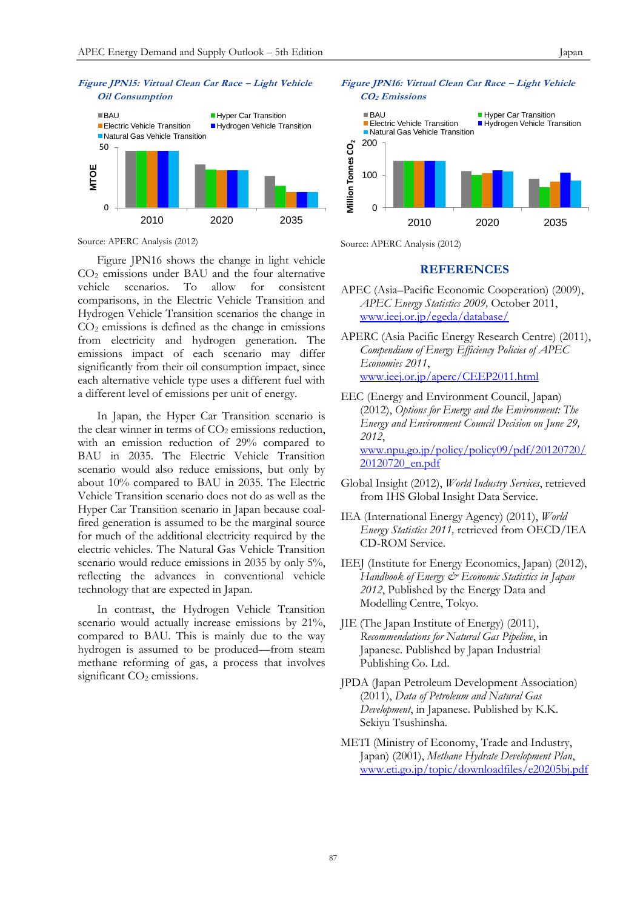

Source: APERC Analysis (2012)

Figure JPN16 shows the change in light vehicle CO<sup>2</sup> emissions under BAU and the four alternative vehicle scenarios. To allow for consistent comparisons, in the Electric Vehicle Transition and Hydrogen Vehicle Transition scenarios the change in  $CO<sub>2</sub>$  emissions is defined as the change in emissions from electricity and hydrogen generation. The emissions impact of each scenario may differ significantly from their oil consumption impact, since each alternative vehicle type uses a different fuel with a different level of emissions per unit of energy.

In Japan, the Hyper Car Transition scenario is the clear winner in terms of  $CO<sub>2</sub>$  emissions reduction, with an emission reduction of 29% compared to BAU in 2035. The Electric Vehicle Transition scenario would also reduce emissions, but only by about 10% compared to BAU in 2035. The Electric Vehicle Transition scenario does not do as well as the Hyper Car Transition scenario in Japan because coalfired generation is assumed to be the marginal source for much of the additional electricity required by the electric vehicles. The Natural Gas Vehicle Transition scenario would reduce emissions in 2035 by only 5%, reflecting the advances in conventional vehicle technology that are expected in Japan.

In contrast, the Hydrogen Vehicle Transition scenario would actually increase emissions by 21%, compared to BAU. This is mainly due to the way hydrogen is assumed to be produced—from steam methane reforming of gas, a process that involves significant  $CO<sub>2</sub>$  emissions.

## **Figure JPN16: Virtual Clean Car Race – Light Vehicle**



Source: APERC Analysis (2012)

## **REFERENCES**

- APEC (Asia–Pacific Economic Cooperation) (2009), *APEC Energy Statistics 2009,* October 2011, [www.ieej.or.jp/egeda/database/](http://www.ieej.or.jp/egeda/database/)
- APERC (Asia Pacific Energy Research Centre) (2011), *Compendium of Energy Efficiency Policies of APEC Economies 2011*, [www.ieej.or.jp/aperc/CEEP2011.html](http://www.ieej.or.jp/aperc/CEEP2011.html)
- EEC (Energy and Environment Council, Japan) (2012), *Options for Energy and the Environment: The Energy and Environment Council Decision on June 29, 2012*, [www.npu.go.jp/policy/policy09/pdf/20120720/](http://www.npu.go.jp/policy/policy09/pdf/20120720/20120720_en.pdf) [20120720\\_en.pdf](http://www.npu.go.jp/policy/policy09/pdf/20120720/20120720_en.pdf)
- Global Insight (2012), *World Industry Services*, retrieved from IHS Global Insight Data Service.
- IEA (International Energy Agency) (2011), *World Energy Statistics 2011,* retrieved from OECD/IEA CD-ROM Service.
- IEEJ (Institute for Energy Economics, Japan) (2012), *Handbook of Energy & Economic Statistics in Japan 2012*, Published by the Energy Data and Modelling Centre, Tokyo.
- JIE (The Japan Institute of Energy) (2011), *Recommendations for Natural Gas Pipeline*, in Japanese. Published by Japan Industrial Publishing Co. Ltd.
- JPDA (Japan Petroleum Development Association) (2011), *Data of Petroleum and Natural Gas Development*, in Japanese. Published by K.K. Sekiyu Tsushinsha.
- METI (Ministry of Economy, Trade and Industry, Japan) (2001), *Methane Hydrate Development Plan*, [www.eti.go.jp/topic/downloadfiles/e20205bj.pdf](http://www.eti.go.jp/topic/downloadfiles/e20205bj.pdf)